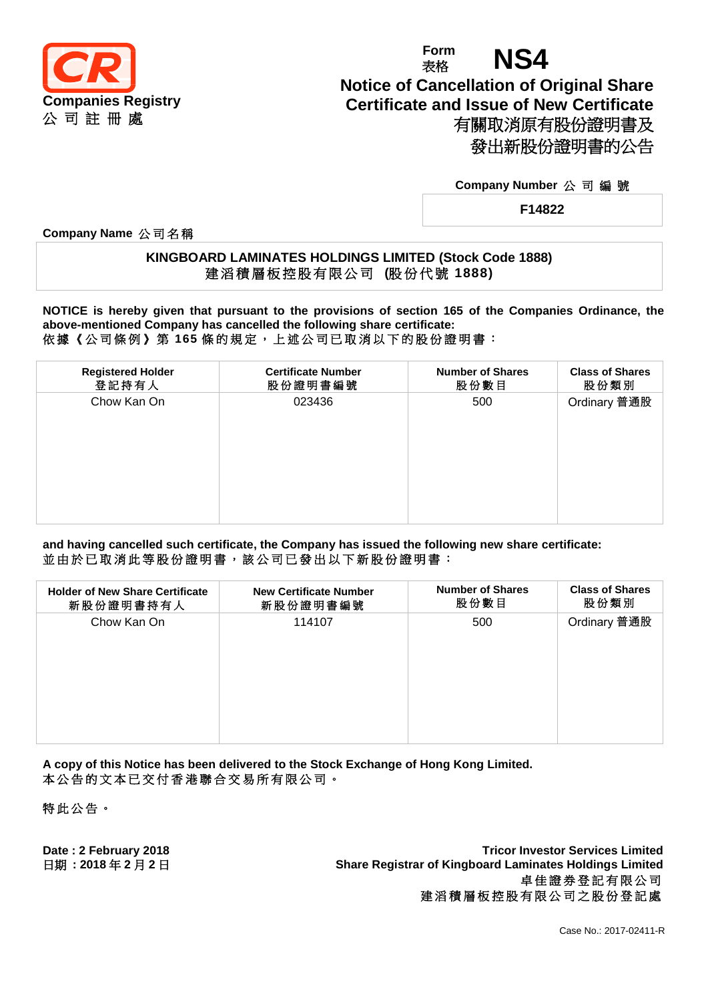

# **Form** Form **NS4 Notice of Cancellation of Original Share Certificate and Issue of New Certificate** 有關取消原有股份證明書及 發出新股份證明書的公告

#### **Company Number** 公 司 編 號

**F14822**

**Company Name** 公 司 名 稱

### **KINGBOARD LAMINATES HOLDINGS LIMITED (Stock Code 1888)** 建 滔 積 層 板 控 股 有 限 公 司 **(**股 份 代 號 **1888)**

**NOTICE is hereby given that pursuant to the provisions of section 165 of the Companies Ordinance, the above-mentioned Company has cancelled the following share certificate:** 依據《公司條例》第 **165** 條 的 規 定 , 上 述 公 司 已 取 消 以 下 的 股 份 證 明 書 :

| <b>Registered Holder</b><br>登記持有人 | <b>Certificate Number</b><br>股份證明書編號 | <b>Number of Shares</b><br>股份數目 | <b>Class of Shares</b><br>股份類別 |
|-----------------------------------|--------------------------------------|---------------------------------|--------------------------------|
| Chow Kan On                       | 023436                               | 500                             | Ordinary 普通股                   |

**and having cancelled such certificate, the Company has issued the following new share certificate:** 並由於已取消此等股份證明書,該公司已發出以下新股份證明書:

| <b>Holder of New Share Certificate</b> | <b>New Certificate Number</b> | <b>Number of Shares</b> | <b>Class of Shares</b> |
|----------------------------------------|-------------------------------|-------------------------|------------------------|
| 新股份證明書持有人                              | 新股份證明書編號                      | 股份數目                    | 股份類別                   |
| Chow Kan On                            | 114107                        | 500                     | Ordinary 普通股           |

**A copy of this Notice has been delivered to the Stock Exchange of Hong Kong Limited.** 本公告的文本已交付香港聯合交易所有限公司。

特此公告 。

**Date : 2 February 2018 Tricor Investor Services Limited** 日期 **: 2018** 年 **2** 月 **2** 日 **Share Registrar of Kingboard Laminates Holdings Limited** 卓佳證券登記有限公司 建滔積層板控股有限公司之股份登記處